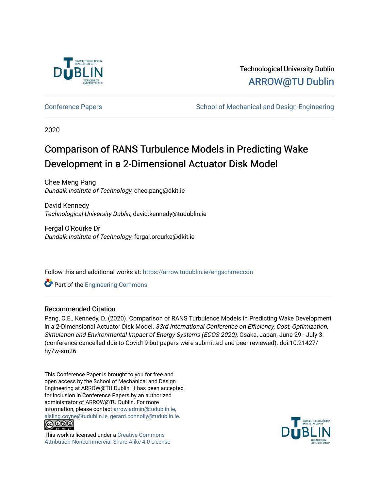

## Technological University Dublin [ARROW@TU Dublin](https://arrow.tudublin.ie/)

[Conference Papers](https://arrow.tudublin.ie/engschmeccon) **School of Mechanical and Design Engineering** Conference Papers

2020

# Comparison of RANS Turbulence Models in Predicting Wake Development in a 2-Dimensional Actuator Disk Model

Chee Meng Pang Dundalk Institute of Technology, chee.pang@dkit.ie

David Kennedy Technological University Dublin, david.kennedy@tudublin.ie

Fergal O'Rourke Dr Dundalk Institute of Technology, fergal.orourke@dkit.ie

Follow this and additional works at: [https://arrow.tudublin.ie/engschmeccon](https://arrow.tudublin.ie/engschmeccon?utm_source=arrow.tudublin.ie%2Fengschmeccon%2F79&utm_medium=PDF&utm_campaign=PDFCoverPages) 

Part of the [Engineering Commons](http://network.bepress.com/hgg/discipline/217?utm_source=arrow.tudublin.ie%2Fengschmeccon%2F79&utm_medium=PDF&utm_campaign=PDFCoverPages)

#### Recommended Citation

Pang, C.E., Kennedy, D. (2020). Comparison of RANS Turbulence Models in Predicting Wake Development in a 2-Dimensional Actuator Disk Model. 33rd International Conference on Efficiency, Cost, Optimization, Simulation and Environmental Impact of Energy Systems (ECOS 2020), Osaka, Japan, June 29 - July 3. (conference cancelled due to Covid19 but papers were submitted and peer reviewed). doi:10.21427/ hy7w-sm26

This Conference Paper is brought to you for free and open access by the School of Mechanical and Design Engineering at ARROW@TU Dublin. It has been accepted for inclusion in Conference Papers by an authorized administrator of ARROW@TU Dublin. For more information, please contact [arrow.admin@tudublin.ie,](mailto:arrow.admin@tudublin.ie,%20aisling.coyne@tudublin.ie,%20gerard.connolly@tudublin.ie)  [aisling.coyne@tudublin.ie, gerard.connolly@tudublin.ie](mailto:arrow.admin@tudublin.ie,%20aisling.coyne@tudublin.ie,%20gerard.connolly@tudublin.ie).



This work is licensed under a [Creative Commons](http://creativecommons.org/licenses/by-nc-sa/4.0/) [Attribution-Noncommercial-Share Alike 4.0 License](http://creativecommons.org/licenses/by-nc-sa/4.0/)

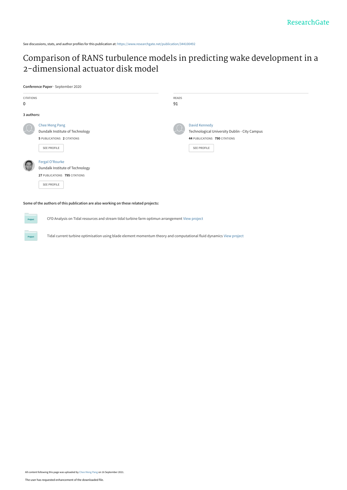See discussions, stats, and author profiles for this publication at: [https://www.researchgate.net/publication/344100492](https://www.researchgate.net/publication/344100492_Comparison_of_RANS_turbulence_models_in_predicting_wake_development_in_a_2-dimensional_actuator_disk_model?enrichId=rgreq-1868800775b1f29424e74b5b53c1a267-XXX&enrichSource=Y292ZXJQYWdlOzM0NDEwMDQ5MjtBUzoxMDY4NzE2MzEzODEyOTkyQDE2MzE4MTMyMzMzMDk%3D&el=1_x_2&_esc=publicationCoverPdf)

## [Comparison of RANS turbulence models in predicting wake development in a](https://www.researchgate.net/publication/344100492_Comparison_of_RANS_turbulence_models_in_predicting_wake_development_in_a_2-dimensional_actuator_disk_model?enrichId=rgreq-1868800775b1f29424e74b5b53c1a267-XXX&enrichSource=Y292ZXJQYWdlOzM0NDEwMDQ5MjtBUzoxMDY4NzE2MzEzODEyOTkyQDE2MzE4MTMyMzMzMDk%3D&el=1_x_3&_esc=publicationCoverPdf) 2-dimensional actuator disk model

#### **Conference Paper** · September 2020

Proj

| CITATIONS<br>0 |                                                                                                           | READS<br>91 |                                                                                                                       |  |  |  |  |
|----------------|-----------------------------------------------------------------------------------------------------------|-------------|-----------------------------------------------------------------------------------------------------------------------|--|--|--|--|
| 3 authors:     |                                                                                                           |             |                                                                                                                       |  |  |  |  |
|                | <b>Chee Meng Pang</b><br>Dundalk Institute of Technology<br>5 PUBLICATIONS 2 CITATIONS<br>SEE PROFILE     |             | <b>David Kennedy</b><br>Technological University Dublin - City Campus<br>44 PUBLICATIONS 790 CITATIONS<br>SEE PROFILE |  |  |  |  |
|                | Fergal O'Rourke<br>Dundalk Institute of Technology<br>27 PUBLICATIONS 795 CITATIONS<br><b>SEE PROFILE</b> |             |                                                                                                                       |  |  |  |  |

**Some of the authors of this publication are also working on these related projects:**

CFD Analysis on Tidal resources and stream tidal turbine farm optimun arrangement [View project](https://www.researchgate.net/project/CFD-Analysis-on-Tidal-resources-and-stream-tidal-turbine-farm-optimun-arrangement?enrichId=rgreq-1868800775b1f29424e74b5b53c1a267-XXX&enrichSource=Y292ZXJQYWdlOzM0NDEwMDQ5MjtBUzoxMDY4NzE2MzEzODEyOTkyQDE2MzE4MTMyMzMzMDk%3D&el=1_x_9&_esc=publicationCoverPdf)

Tidal current turbine optimisation using blade element momentum theory and computational fluid dynamics [View project](https://www.researchgate.net/project/Tidal-current-turbine-optimisation-using-blade-element-momentum-theory-and-computational-fluid-dynamics?enrichId=rgreq-1868800775b1f29424e74b5b53c1a267-XXX&enrichSource=Y292ZXJQYWdlOzM0NDEwMDQ5MjtBUzoxMDY4NzE2MzEzODEyOTkyQDE2MzE4MTMyMzMzMDk%3D&el=1_x_9&_esc=publicationCoverPdf)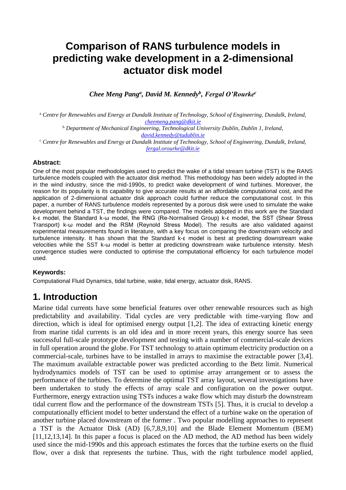## **Comparison of RANS turbulence models in predicting wake development in a 2-dimensional actuator disk model**

*Chee Meng Pang<sup>a</sup> , David M. Kennedy<sup>b</sup> , Fergal O'Rourke<sup>c</sup>*

<sup>a</sup> *Centre for Renewables and Energy at Dundalk Institute of Technology, School of Engineering, Dundalk, Ireland, [cheemeng.pang@dkit.ie](mailto:cheemeng.pang@dkit.ie)*

<sup>b</sup> *Department of Mechanical Engineering, Technological University Dublin, Dublin 1, Ireland, [david.kennedy@tudublin.ie](mailto:david.kennedy@tudublin.ie)*

*<sup>c</sup> Centre for Renewables and Energy at Dundalk Institute of Technology, School of Engineering, Dundalk, Ireland, [fergal.orourke@dkit.ie](mailto:fergal.orourke@dkit.ie)*

#### **Abstract:**

One of the most popular methodologies used to predict the wake of a tidal stream turbine (TST) is the RANS turbulence models coupled with the actuator disk method. This methodology has been widely adopted in the in the wind industry, since the mid-1990s, to predict wake development of wind turbines. Moreover, the reason for its popularity is its capability to give accurate results at an affordable computational cost, and the application of 2-dimensional actuator disk approach could further reduce the computational cost. In this paper, a number of RANS turbulence models represented by a porous disk were used to simulate the wake development behind a TST, the findings were compared. The models adopted in this work are the Standard k-ε model, the Standard k-ω model, the RNG (Re-Normalised Group) k-ε model, the SST (Shear Stress Transport) k-ω model and the RSM (Reynold Stress Model). The results are also validated against experimental measurements found in literature, with a key focus on comparing the downstream velocity and turbulence intensity. It has shown that the Standard k-ε model is best at predicting downstream wake velocities while the SST k-ω model is better at predicting downstream wake turbulence intensity. Mesh convergence studies were conducted to optimise the computational efficiency for each turbulence model used.

#### **Keywords:**

Computational Fluid Dynamics, tidal turbine, wake, tidal energy, actuator disk, RANS.

## **1. Introduction**

Marine tidal currents have some beneficial features over other renewable resources such as high predictability and availability. Tidal cycles are very predictable with time-varying flow and direction, which is ideal for optimised energy output [1,2]. The idea of extracting kinetic energy from marine tidal currents is an old idea and in more recent years, this energy source has seen successful full-scale prototype development and testing with a number of commercial-scale devices in full operation around the globe. For TST technology to attain optimum electricity production on a commercial-scale, turbines have to be installed in arrays to maximise the extractable power [3,4]. The maximum available extractable power was predicted according to the Betz limit. Numerical hydrodynamics models of TST can be used to optimise array arrangement or to assess the performance of the turbines. To determine the optimal TST array layout, several investigations have been undertaken to study the effects of array scale and configuration on the power output. Furthermore, energy extraction using TSTs induces a wake flow which may disturb the downstream tidal current flow and the performance of the downstream TSTs [5]. Thus, it is crucial to develop a computationally efficient model to better understand the effect of a turbine wake on the operation of another turbine placed downstream of the former . Two popular modelling approaches to represent a TST is the Actuator Disk (AD) [6,7,8,9,10] and the Blade Element Momentum (BEM) [11,12,13,14]. In this paper a focus is placed on the AD method, the AD method has been widely used since the mid-1990s and this approach estimates the forces that the turbine exerts on the fluid flow, over a disk that represents the turbine. Thus, with the right turbulence model applied,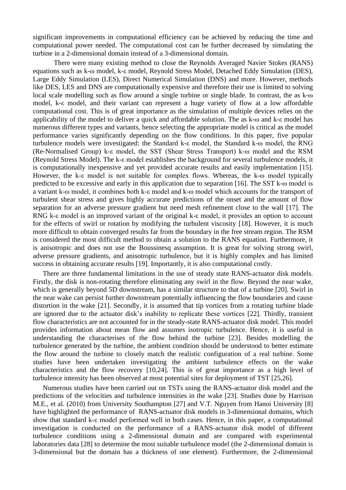significant improvements in computational efficiency can be achieved by reducing the time and computational power needed. The computational cost can be further decreased by simulating the turbine in a 2-dimensional domain instead of a 3-dimensional domain.

There were many existing method to close the Reynolds Averaged Navier Stokes (RANS) equations such as k-ω model, k-ε model, Reynold Stress Model, Detached Eddy Simulation (DES), Large Eddy Simulation (LES), Direct Numerical Simulation (DNS) and more. However, methods like DES, LES and DNS are computationally expensive and therefore their use is limited to solving local scale modelling such as flow around a single turbine or single blade. In contrast, the as k-ω model, k-ε model, and their variant can represent a huge variety of flow at a low affordable computational cost. This is of great importance as the simulation of multiple devices relies on the applicability of the model to deliver a quick and affordable solution. The as k-ω and k-ε model has numerous different types and variants, hence selecting the appropriate model is critical as the model performance varies significantly depending on the flow conditions. In this paper, five popular turbulence models were investigated: the Standard k-ε model, the Standard k-ω model, the RNG (Re-Normalised Group) k-ε model, the SST (Shear Stress Transport) k-ω model and the RSM (Reynold Stress Model). The k-ε model establishes the background for several turbulence models, it is computationally inexpensive and yet provided accurate results and easily implementation [15]. However, the k-ε model is not suitable for complex flows. Whereas, the k-ω model typically predicted to be excessive and early in this application due to separation [16]. The SST k-ω model is a variant k-ω model, it combines both k-ε model and k-ω model which accounts for the transport of turbulent shear stress and gives highly accurate predictions of the onset and the amount of flow separation for an adverse pressure gradient but need mesh refinement close to the wall [17]. The RNG k-ε model is an improved variant of the original k-ε model, it provides an option to account for the effects of swirl or rotation by modifying the turbulent viscosity [18]. However, it is much more difficult to obtain converged results far from the boundary in the free stream region. The RSM is considered the most difficult method to obtain a solution to the RANS equation. Furthermore, it is anisotropic and does not use the Boussinesq assumption. It is great for solving strong swirl, adverse pressure gradients, and anisotropic turbulence, but it is highly complex and has limited success in obtaining accurate results [19]. Importantly, it is also computational costly.

There are three fundamental limitations in the use of steady state RANS-actuator disk models. Firstly, the disk is non-rotating therefore eliminating any swirl in the flow. Beyond the near wake, which is generally beyond 5D downstream, has a similar structure to that of a turbine [20]. Swirl in the near wake can persist further downstream potentially influencing the flow boundaries and cause distortion in the wake [21]. Secondly, it is assumed that tip vortices from a rotating turbine blade are ignored due to the actuator disk's inability to replicate these vortices [22]. Thirdly, transient flow characteristics are not accounted for in the steady-state RANS-actuator disk model. This model provides information about mean flow and assumes isotropic turbulence. Hence, it is useful in understanding the characterises of the flow behind the turbine [23]. Besides modelling the turbulence generated by the turbine, the ambient condition should be understood to better estimate the flow around the turbine to closely match the realistic configuration of a real turbine. Some studies have been undertaken investigating the ambient turbulence effects on the wake characteristics and the flow recovery [10,24]. This is of great importance as a high level of turbulence intensity has been observed at most potential sites for deployment of TST [25,26].

Numerous studies have been carried out on TSTs using the RANS-actuator disk model and the predictions of the velocities and turbulence intensities in the wake [23]. Studies done by Harrison M.E., et al. (2010) from University Southampton [27] and V.T. Nguyen from Hanoi University [8] have highlighted the performance of RANS-actuator disk models in 3-dimensional domains, which show that standard k-ε model performed well in both cases. Hence, in this paper, a computational investigation is conducted on the performance of a RANS-actuator disk model of different turbulence conditions using a 2-dimensional domain and are compared with experimental laboratories data [28] to determine the most suitable turbulence model (the 2-dimensional domain is 3-dimensional but the domain has a thickness of one element). Furthermore, the 2-dimensional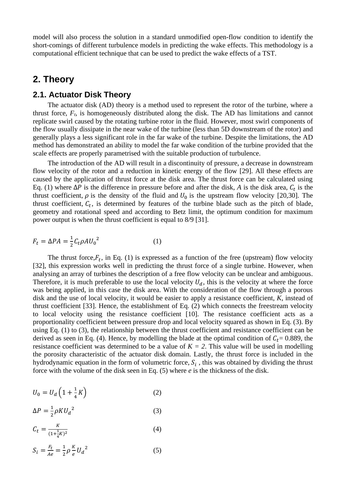model will also process the solution in a standard unmodified open-flow condition to identify the short-comings of different turbulence models in predicting the wake effects. This methodology is a computational efficient technique that can be used to predict the wake effects of a TST.

## **2. Theory**

### **2.1. Actuator Disk Theory**

The actuator disk (AD) theory is a method used to represent the rotor of the turbine, where a thrust force, *Ft*, is homogeneously distributed along the disk. The AD has limitations and cannot replicate swirl caused by the rotating turbine rotor in the fluid. However, most swirl components of the flow usually dissipate in the near wake of the turbine (less than 5D downstream of the rotor) and generally plays a less significant role in the far wake of the turbine. Despite the limitations, the AD method has demonstrated an ability to model the far wake condition of the turbine provided that the scale effects are properly parametrised with the suitable production of turbulence.

The introduction of the AD will result in a discontinuity of pressure, a decrease in downstream flow velocity of the rotor and a reduction in kinetic energy of the flow [29]. All these effects are caused by the application of thrust force at the disk area. The thrust force can be calculated using Eq. (1) where  $\Delta P$  is the difference in pressure before and after the disk, *A* is the disk area,  $C_t$  is the thrust coefficient,  $\rho$  is the density of the fluid and  $U_0$  is the upstream flow velocity [20,30]. The thrust coefficient,  $C_t$ , is determined by features of the turbine blade such as the pitch of blade, geometry and rotational speed and according to Betz limit, the optimum condition for maximum power output is when the thrust coefficient is equal to 8/9 [31].

$$
F_t = \Delta PA = \frac{1}{2} C_t \rho A U_0^2 \tag{1}
$$

The thrust force,  $F_t$ , in Eq. (1) is expressed as a function of the free (upstream) flow velocity [32], this expression works well in predicting the thrust force of a single turbine. However, when analysing an array of turbines the description of a free flow velocity can be unclear and ambiguous. Therefore, it is much preferable to use the local velocity  $U_d$ , this is the velocity at where the force was being applied, in this case the disk area. With the consideration of the flow through a porous disk and the use of local velocity, it would be easier to apply a resistance coefficient, *K*, instead of thrust coefficient [33]. Hence, the establishment of Eq. (2) which connects the freestream velocity to local velocity using the resistance coefficient [10]. The resistance coefficient acts as a proportionality coefficient between pressure drop and local velocity squared as shown in Eq. (3). By using Eq. (1) to (3), the relationship between the thrust coefficient and resistance coefficient can be derived as seen in Eq. (4). Hence, by modelling the blade at the optimal condition of  $C_t = 0.889$ , the resistance coefficient was determined to be a value of  $K = 2$ . This value will be used in modelling the porosity characteristic of the actuator disk domain. Lastly, the thrust force is included in the hydrodynamic equation in the form of volumetric force,  $S_i$ , this was obtained by dividing the thrust force with the volume of the disk seen in Eq. (5) where *e* is the thickness of the disk.

$$
U_0 = U_d \left( 1 + \frac{1}{4} K \right) \tag{2}
$$

$$
\Delta P = \frac{1}{2} \rho K U_d^2 \tag{3}
$$

$$
C_t = \frac{K}{(1 + \frac{1}{4}K)^2} \tag{4}
$$

$$
S_i = \frac{F_t}{Ae} = \frac{1}{2} \rho \frac{K}{e} U_d^2
$$
 (5)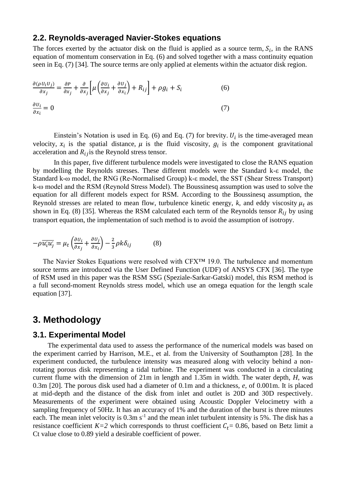#### **2.2. Reynolds-averaged Navier-Stokes equations**

The forces exerted by the actuator disk on the fluid is applied as a source term,  $S_i$ , in the RANS equation of momentum conservation in Eq. (6) and solved together with a mass continuity equation seen in Eq. (7) [34]. The source terms are only applied at elements within the actuator disk region.

$$
\frac{\partial(\rho U_i U_j)}{\partial x_j} = \frac{\partial P}{\partial x_j} + \frac{\partial}{\partial x_j} \left[ \mu \left( \frac{\partial U_i}{\partial x_j} + \frac{\partial U_j}{\partial x_i} \right) + R_{ij} \right] + \rho g_i + S_i \tag{6}
$$
  

$$
\frac{\partial U_i}{\partial x_i} = 0 \tag{7}
$$

Einstein's Notation is used in Eq. (6) and Eq. (7) for brevity.  $U_i$  is the time-averaged mean velocity,  $x_i$  is the spatial distance,  $\mu$  is the fluid viscosity,  $g_i$  is the component gravitational acceleration and  $R_{ij}$  is the Reynold stress tensor.

In this paper, five different turbulence models were investigated to close the RANS equation by modelling the Reynolds stresses. These different models were the Standard k-ε model, the Standard k-ω model, the RNG (Re-Normalised Group) k-ε model, the SST (Shear Stress Transport) k-ω model and the RSM (Reynold Stress Model). The Boussinesq assumption was used to solve the equation for all different models expect for RSM. According to the Boussinesq assumption, the Reynold stresses are related to mean flow, turbulence kinetic energy,  $k$ , and eddy viscosity  $\mu_t$  as shown in Eq. (8) [35]. Whereas the RSM calculated each term of the Reynolds tensor  $R_{ij}$  by using transport equation, the implementation of such method is to avoid the assumption of isotropy.

$$
-\rho \overline{u_i' u_j'} = \mu_t \left( \frac{\partial u_i}{\partial x_j} + \frac{\partial u_j}{\partial x_i} \right) - \frac{2}{3} \rho k \delta_{ij}
$$
 (8)

The Navier Stokes Equations were resolved with CFX™ 19.0. The turbulence and momentum source terms are introduced via the User Defined Function (UDF) of ANSYS CFX [36]. The type of RSM used in this paper was the RSM SSG (Speziale-Sarkar-Gatski) model, this RSM method is a full second-moment Reynolds stress model, which use an omega equation for the length scale equation [37].

### **3. Methodology**

#### **3.1. Experimental Model**

The experimental data used to assess the performance of the numerical models was based on the experiment carried by Harrison, M.E., et al. from the University of Southampton [28]. In the experiment conducted, the turbulence intensity was measured along with velocity behind a nonrotating porous disk representing a tidal turbine. The experiment was conducted in a circulating current flume with the dimension of 21m in length and 1.35m in width. The water depth, *H*, was 0.3m [20]. The porous disk used had a diameter of 0.1m and a thickness, *e,* of 0.001m. It is placed at mid-depth and the distance of the disk from inlet and outlet is 20D and 30D respectively. Measurements of the experiment were obtained using Acoustic Doppler Velocimetry with a sampling frequency of 50Hz. It has an accuracy of 1% and the duration of the burst is three minutes each. The mean inlet velocity is  $0.3$ m s<sup>-1</sup> and the mean inlet turbulent intensity is 5%. The disk has a resistance coefficient  $K=2$  which corresponds to thrust coefficient  $C_t = 0.86$ , based on Betz limit a Ct value close to 0.89 yield a desirable coefficient of power.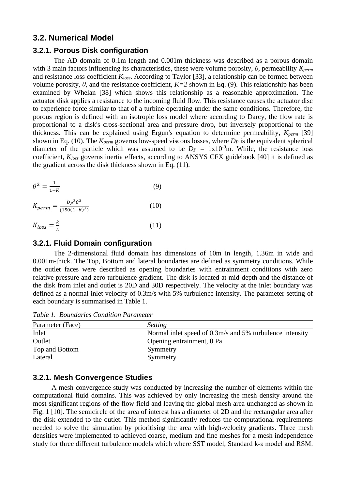### **3.2. Numerical Model**

#### **3.2.1. Porous Disk configuration**

The AD domain of 0.1m length and 0.001m thickness was described as a porous domain with 3 main factors influencing its characteristics, these were volume porosity, *θ*, permeability *Kperm* and resistance loss coefficient *Kloss*. According to Taylor [33], a relationship can be formed between volume porosity,  $θ$ , and the resistance coefficient,  $K=2$  shown in Eq. (9). This relationship has been examined by Whelan [38] which shows this relationship as a reasonable approximation. The actuator disk applies a resistance to the incoming fluid flow. This resistance causes the actuator disc to experience force similar to that of a turbine operating under the same conditions. Therefore, the porous region is defined with an isotropic loss model where according to Darcy, the flow rate is proportional to a disk's cross-sectional area and pressure drop, but inversely proportional to the thickness. This can be explained using Ergun's equation to determine permeability, *Kperm* [39] shown in Eq. (10). The *Kperm* governs low-speed viscous losses, where *D<sup>P</sup>* is the equivalent spherical diameter of the particle which was assumed to be  $D_P = 1 \times 10^{-9}$ m. While, the resistance loss coefficient, *Kloss* governs inertia effects, according to ANSYS CFX guidebook [40] it is defined as the gradient across the disk thickness shown in Eq. (11).

$$
\theta^2 = \frac{1}{1+K} \tag{9}
$$

$$
K_{perm} = \frac{D_P^2 \theta^3}{(150(1-\theta)^2)}
$$
(10)

$$
K_{loss} = \frac{k}{L} \tag{11}
$$

#### **3.2.1. Fluid Domain configuration**

The 2-dimensional fluid domain has dimensions of 10m in length, 1.36m in wide and 0.001m-thick. The Top, Bottom and lateral boundaries are defined as symmetry conditions. While the outlet faces were described as opening boundaries with entrainment conditions with zero relative pressure and zero turbulence gradient. The disk is located at mid-depth and the distance of the disk from inlet and outlet is 20D and 30D respectively. The velocity at the inlet boundary was defined as a normal inlet velocity of 0.3m/s with 5% turbulence intensity. The parameter setting of each boundary is summarised in Table 1.

*Table 1. Boundaries Condition Parameter*

| Parameter (Face) | <i>Setting</i>                                           |
|------------------|----------------------------------------------------------|
| Inlet            | Normal inlet speed of 0.3m/s and 5% turbulence intensity |
| Outlet           | Opening entrainment, 0 Pa                                |
| Top and Bottom   | Symmetry                                                 |
| Lateral          | Symmetry                                                 |

#### **3.2.1. Mesh Convergence Studies**

A mesh convergence study was conducted by increasing the number of elements within the computational fluid domains. This was achieved by only increasing the mesh density around the most significant regions of the flow field and leaving the global mesh area unchanged as shown in Fig. 1 [10]. The semicircle of the area of interest has a diameter of 2D and the rectangular area after the disk extended to the outlet. This method significantly reduces the computational requirements needed to solve the simulation by prioritising the area with high-velocity gradients. Three mesh densities were implemented to achieved coarse, medium and fine meshes for a mesh independence study for three different turbulence models which where SST model, Standard k-ε model and RSM.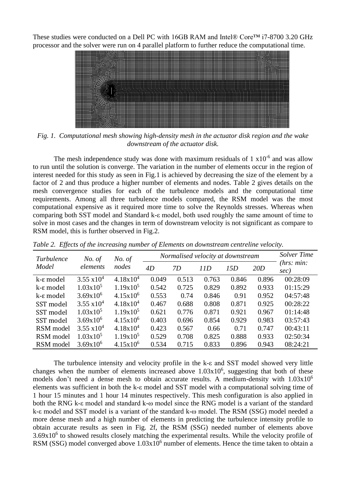These studies were conducted on a Dell PC with 16GB RAM and Intel® Core<sup>TM</sup> i7-8700 3.20 GHz processor and the solver were run on 4 parallel platform to further reduce the computational time.



*Fig. 1. Computational mesh showing high-density mesh in the actuator disk region and the wake downstream of the actuator disk.*

The mesh independence study was done with maximum residuals of  $1 \times 10^{-6}$  and was allow to run until the solution is converge. The variation in the number of elements occur in the region of interest needed for this study as seen in Fig.1 is achieved by decreasing the size of the element by a factor of 2 and thus produce a higher number of elements and nodes. Table 2 gives details on the mesh convergence studies for each of the turbulence models and the computational time requirements. Among all three turbulence models compared, the RSM model was the most computational expensive as it required more time to solve the Reynolds stresses. Whereas when comparing both SST model and Standard k-ε model, both used roughly the same amount of time to solve in most cases and the changes in term of downstream velocity is not significant as compare to RSM model, this is further observed in Fig.2.

| Turbulence | No. of<br>elements   | No. of<br>nodes | Normalised velocity at downstream |       |       |       |       | Solver Time        |
|------------|----------------------|-----------------|-----------------------------------|-------|-------|-------|-------|--------------------|
| Model      |                      |                 | 4D                                | 7D    | 11D   | 15D   | 20D   | (hrs: min:<br>sec) |
| k-ε model  | $3.55 \times 10^{4}$ | $4.18x10^{4}$   | 0.049                             | 0.513 | 0.763 | 0.846 | 0.896 | 00:28:09           |
| k-ε model  | $1.03 \times 10^5$   | $1.19x10^5$     | 0.542                             | 0.725 | 0.829 | 0.892 | 0.933 | 01:15:29           |
| k-ε model  | $3.69x10^{6}$        | $4.15x10^{6}$   | 0.553                             | 0.74  | 0.846 | 0.91  | 0.952 | 04:57:48           |
| SST model  | $3.55 \times 10^{4}$ | $4.18x10^4$     | 0.467                             | 0.688 | 0.808 | 0.871 | 0.925 | 00:28:22           |
| SST model  | $1.03 \times 10^5$   | $1.19x10^5$     | 0.621                             | 0.776 | 0.871 | 0.921 | 0.967 | 01:14:48           |
| SST model  | $3.69x10^{6}$        | $4.15x10^{6}$   | 0.403                             | 0.696 | 0.854 | 0.929 | 0.983 | 03:57:43           |
| RSM model  | $3.55 \times 10^{4}$ | $4.18x10^4$     | 0.423                             | 0.567 | 0.66  | 0.71  | 0.747 | 00:43:11           |
| RSM model  | $1.03x10^5$          | $1.19x10^5$     | 0.529                             | 0.708 | 0.825 | 0.888 | 0.933 | 02:50:34           |
| RSM model  | $3.69x10^{6}$        | $4.15x10^6$     | 0.534                             | 0.715 | 0.833 | 0.896 | 0.943 | 08:24:21           |

*Table 2. Effects of the increasing number of Elements on downstream centreline velocity.*

The turbulence intensity and velocity profile in the k-ε and SST model showed very little changes when the number of elements increased above  $1.03x10^6$ , suggesting that both of these models don't need a dense mesh to obtain accurate results. A medium-density with  $1.03x10^6$ elements was sufficient in both the k-ε model and SST model with a computational solving time of 1 hour 15 minutes and 1 hour 14 minutes respectively. This mesh configuration is also applied in both the RNG k-ε model and standard k-ω model since the RNG model is a variant of the standard k-ε model and SST model is a variant of the standard k-ω model. The RSM (SSG) model needed a more dense mesh and a high number of elements in predicting the turbulence intensity profile to obtain accurate results as seen in Fig. 2f, the RSM (SSG) needed number of elements above 3.69x10<sup>6</sup> to showed results closely matching the experimental results. While the velocity profile of RSM (SSG) model converged above  $1.03x10^6$  number of elements. Hence the time taken to obtain a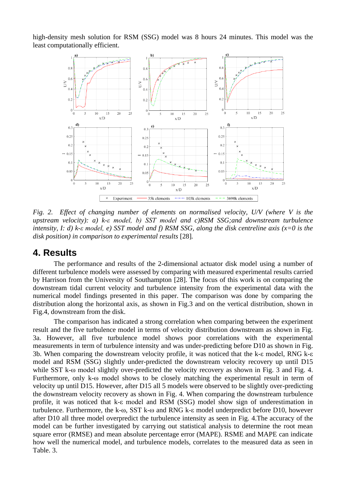high-density mesh solution for RSM (SSG) model was 8 hours 24 minutes. This model was the least computationally efficient.



*Fig. 2. Effect of changing number of elements on normalised velocity, U/V (where V is the upstream velocity): a) k-ε model, b) SST model and c)RSM SSG;and downstream turbulence intensity, I: d) k-ε model, e) SST model and f) RSM SSG, along the disk centreline axis (x=0 is the disk position) in comparison to experimental results* [28]*.*

## **4. Results**

The performance and results of the 2-dimensional actuator disk model using a number of different turbulence models were assessed by comparing with measured experimental results carried by Harrison from the University of Southampton [28]. The focus of this work is on comparing the downstream tidal current velocity and turbulence intensity from the experimental data with the numerical model findings presented in this paper. The comparison was done by comparing the distribution along the horizontal axis, as shown in Fig.3 and on the vertical distribution, shown in Fig.4, downstream from the disk.

The comparison has indicated a strong correlation when comparing between the experiment result and the five turbulence model in terms of velocity distribution downstream as shown in Fig. 3a. However, all five turbulence model shows poor correlations with the experimental measurements in term of turbulence intensity and was under-predicting before D10 as shown in Fig. 3b. When comparing the downstream velocity profile, it was noticed that the k-ε model, RNG k-ε model and RSM (SSG) slightly under-predicted the downstream velocity recovery up until D15 while SST k-ω model slightly over-predicted the velocity recovery as shown in Fig. 3 and Fig. 4. Furthermore, only k-ω model shows to be closely matching the experimental result in term of velocity up until D15. However, after D15 all 5 models were observed to be slightly over-predicting the downstream velocity recovery as shown in Fig. 4. When comparing the downstream turbulence profile, it was noticed that k-ε model and RSM (SSG) model show sign of underestimation in turbulence. Furthermore, the k-ω, SST k-ω and RNG k-ε model underpredict before D10, however after D10 all three model overpredict the turbulence intensity as seen in Fig. 4.The accuracy of the model can be further investigated by carrying out statistical analysis to determine the root mean square error (RMSE) and mean absolute percentage error (MAPE). RSME and MAPE can indicate how well the numerical model, and turbulence models, correlates to the measured data as seen in Table. 3.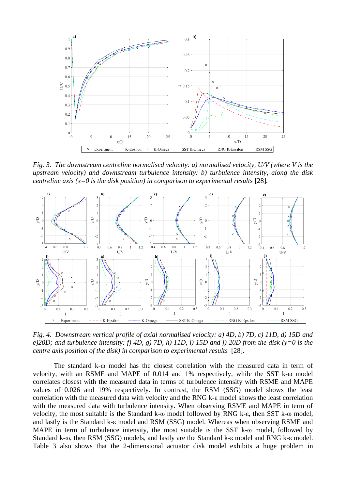

*Fig. 3. The downstream centreline normalised velocity: a) normalised velocity, U/V (where V is the upstream velocity) and downstream turbulence intensity: b) turbulence intensity, along the disk centreline axis (x=0 is the disk position) in comparison to experimental results* [28].



*Fig. 4. Downstream vertical profile of axial normalised velocity: a) 4D, b) 7D, c) 11D, d) 15D and e)20D; and turbulence intensity: f) 4D, g) 7D, h) 11D, i) 15D and j) 20D from the disk (y=0 is the centre axis position of the disk) in comparison to experimental results* [28]*.*

The standard k-ω model has the closest correlation with the measured data in term of velocity, with an RSME and MAPE of 0.014 and 1% respectively, while the SST k-ω model correlates closest with the measured data in terms of turbulence intensity with RSME and MAPE values of 0.026 and 19% respectively. In contrast, the RSM (SSG) model shows the least correlation with the measured data with velocity and the RNG k-ε model shows the least correlation with the measured data with turbulence intensity. When observing RSME and MAPE in term of velocity, the most suitable is the Standard k-ω model followed by RNG k-ε, then SST k-ω model, and lastly is the Standard k-ε model and RSM (SSG) model. Whereas when observing RSME and MAPE in term of turbulence intensity, the most suitable is the SST k- $\omega$  model, followed by Standard k-ω, then RSM (SSG) models, and lastly are the Standard k-ε model and RNG k-ε model. Table 3 also shows that the 2-dimensional actuator disk model exhibits a huge problem in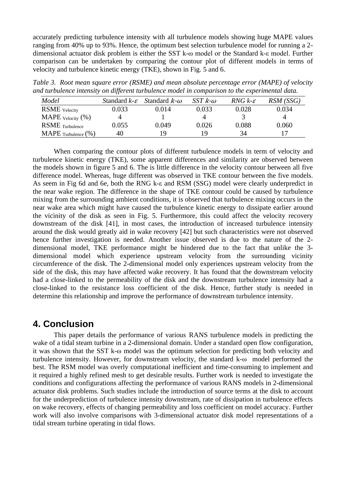accurately predicting turbulence intensity with all turbulence models showing huge MAPE values ranging from 40% up to 93%. Hence, the optimum best selection turbulence model for running a 2 dimensional actuator disk problem is either the SST k-ω model or the Standard k-ε model. Further comparison can be undertaken by comparing the contour plot of different models in terms of velocity and turbulence kinetic energy (TKE), shown in Fig. 5 and 6.

*Table 3. Root mean square error (RSME) and mean absolute percentage error (MAPE) of velocity and turbulence intensity on different turbulence model in comparison to the experimental data.*

| Model                                 | Standard $k$ - $\varepsilon$ | Standard $k$ - $\omega$ | SST $k$ - $\omega$ | RNG $k$ - $\varepsilon$ | $RSM$ (SSG) |
|---------------------------------------|------------------------------|-------------------------|--------------------|-------------------------|-------------|
| <b>RSME</b> velocity                  | 0.033                        | 0.014                   | 0.033              | 0.028                   | 0.034       |
| MAPE $\text{Velocity } (\% )$         |                              |                         |                    |                         |             |
| <b>RSME</b> Turbulence                | 0.055                        | 0.049                   | 0.026              | 0.088                   | 0.060       |
| $\text{MAPE}_{\text{Turbulence}}(\%)$ | 40                           | 19                      | 19                 | 34                      |             |

When comparing the contour plots of different turbulence models in term of velocity and turbulence kinetic energy (TKE), some apparent differences and similarity are observed between the models shown in figure 5 and 6. The is little difference in the velocity contour between all five difference model. Whereas, huge different was observed in TKE contour between the five models. As seem in Fig 6d and 6e, both the RNG k-ε and RSM (SSG) model were clearly underpredict in the near wake region. The difference in the shape of TKE contour could be caused by turbulence mixing from the surrounding ambient conditions, it is observed that turbulence mixing occurs in the near wake area which might have caused the turbulence kinetic energy to dissipate earlier around the vicinity of the disk as seen in Fig. 5. Furthermore, this could affect the velocity recovery downstream of the disk [41], in most cases, the introduction of increased turbulence intensity around the disk would greatly aid in wake recovery [42] but such characteristics were not observed hence further investigation is needed. Another issue observed is due to the nature of the 2 dimensional model, TKE performance might be hindered due to the fact that unlike the 3 dimensional model which experience upstream velocity from the surrounding vicinity circumference of the disk. The 2-dimensional model only experiences upstream velocity from the side of the disk, this may have affected wake recovery. It has found that the downstream velocity had a close-linked to the permeability of the disk and the downstream turbulence intensity had a close-linked to the resistance loss coefficient of the disk. Hence, further study is needed in determine this relationship and improve the performance of downstream turbulence intensity.

## **4. Conclusion**

This paper details the performance of various RANS turbulence models in predicting the wake of a tidal steam turbine in a 2-dimensional domain. Under a standard open flow configuration, it was shown that the SST k-ω model was the optimum selection for predicting both velocity and turbulence intensity. However, for downstream velocity, the standard k-ω model performed the best. The RSM model was overly computational inefficient and time-consuming to implement and it required a highly refined mesh to get desirable results. Further work is needed to investigate the conditions and configurations affecting the performance of various RANS models in 2-dimensional actuator disk problems. Such studies include the introduction of source terms at the disk to account for the underprediction of turbulence intensity downstream, rate of dissipation in turbulence effects on wake recovery, effects of changing permeability and loss coefficient on model accuracy. Further work will also involve comparisons with 3-dimensional actuator disk model representations of a tidal stream turbine operating in tidal flows.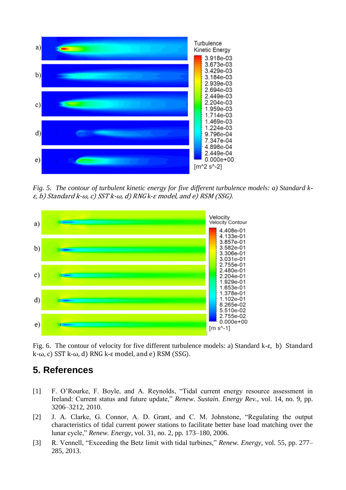

*Fig. 5. The contour of turbulent kinetic energy for five different turbulence models: a) Standard k*ε, b) Standard k-ω, c) SST k-ω, d) RNG *k-*ε model, and e) RSM (SSG).



Fig. 6. The contour of velocity for five different turbulence models: a) Standard k-ε, b) Standard k-ω, c) SST k-ω, d) RNG k-ε model, and e) RSM (SSG).

## **5. References**

- [1] F. O'Rourke, F. Boyle, and A. Reynolds, "Tidal current energy resource assessment in Ireland: Current status and future update," *Renew. Sustain. Energy Rev.*, vol. 14, no. 9, pp. 3206–3212, 2010.
- [2] J. A. Clarke, G. Connor, A. D. Grant, and C. M. Johnstone, "Regulating the output characteristics of tidal current power stations to facilitate better base load matching over the lunar cycle," *Renew. Energy*, vol. 31, no. 2, pp. 173–180, 2006.
- [3] R. Vennell, "Exceeding the Betz limit with tidal turbines," *Renew. Energy*, vol. 55, pp. 277– 285, 2013.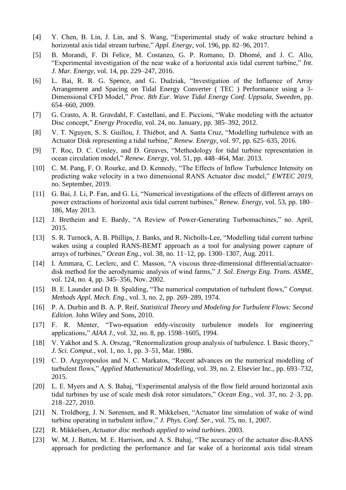- [4] Y. Chen, B. Lin, J. Lin, and S. Wang, "Experimental study of wake structure behind a horizontal axis tidal stream turbine," *Appl. Energy*, vol. 196, pp. 82–96, 2017.
- [5] B. Morandi, F. Di Felice, M. Costanzo, G. P. Romano, D. Dhomé, and J. C. Allo, "Experimental investigation of the near wake of a horizontal axis tidal current turbine," *Int. J. Mar. Energy*, vol. 14, pp. 229–247, 2016.
- [6] L. Bai, R. R. G. Spence, and G. Dudziak, "Investigation of the Influence of Array Arrangement and Spacing on Tidal Energy Converter ( TEC ) Performance using a 3- Dimensional CFD Model," *Proc. 8th Eur. Wave Tidal Energy Conf. Uppsala, Sweeden*, pp. 654–660, 2009.
- [7] G. Crasto, A. R. Gravdahl, F. Castellani, and E. Piccioni, "Wake modeling with the actuator Disc concept," *Energy Procedia*, vol. 24, no. January, pp. 385–392, 2012.
- [8] V. T. Nguyen, S. S. Guillou, J. Thiébot, and A. Santa Cruz, "Modelling turbulence with an Actuator Disk representing a tidal turbine," *Renew. Energy*, vol. 97, pp. 625–635, 2016.
- [9] T. Roc, D. C. Conley, and D. Greaves, "Methodology for tidal turbine representation in ocean circulation model," *Renew. Energy*, vol. 51, pp. 448–464, Mar. 2013.
- [10] C. M. Pang, F. O. Rourke, and D. Kennedy, "The Effects of Inflow Turbulence Intensity on predicting wake velocity in a two dimensional RANS Actuator disc model," *EWTEC 2019*, no. September, 2019.
- [11] G. Bai, J. Li, P. Fan, and G. Li, "Numerical investigations of the effects of different arrays on power extractions of horizontal axis tidal current turbines," *Renew. Energy*, vol. 53, pp. 180– 186, May 2013.
- [12] J. Bretheim and E. Bardy, "A Review of Power-Generating Turbomachines," no. April, 2015.
- [13] S. R. Turnock, A. B. Phillips, J. Banks, and R. Nicholls-Lee, "Modelling tidal current turbine wakes using a coupled RANS-BEMT approach as a tool for analysing power capture of arrays of turbines," *Ocean Eng.*, vol. 38, no. 11–12, pp. 1300–1307, Aug. 2011.
- [14] I. Ammara, C. Leclerc, and C. Masson, "A viscous three-dimensional differential/actuatordisk method for the aerodynamic analysis of wind farms," *J. Sol. Energy Eng. Trans. ASME*, vol. 124, no. 4, pp. 345–356, Nov. 2002.
- [15] B. E. Launder and D. B. Spalding, "The numerical computation of turbulent flows," *Comput. Methods Appl. Mech. Eng.*, vol. 3, no. 2, pp. 269–289, 1974.
- [16] P. A. Durbin and B. A. P. Reif, *Statistical Theory and Modeling for Turbulent Flows: Second Edition*. John Wiley and Sons, 2010.
- [17] F. R. Menter, "Two-equation eddy-viscosity turbulence models for engineering applications," *AIAA J.*, vol. 32, no. 8, pp. 1598–1605, 1994.
- [18] V. Yakhot and S. A. Orszag, "Renormalization group analysis of turbulence. I. Basic theory," *J. Sci. Comput.*, vol. 1, no. 1, pp. 3–51, Mar. 1986.
- [19] C. D. Argyropoulos and N. C. Markatos, "Recent advances on the numerical modelling of turbulent flows," *Applied Mathematical Modelling*, vol. 39, no. 2. Elsevier Inc., pp. 693–732, 2015.
- [20] L. E. Myers and A. S. Bahaj, "Experimental analysis of the flow field around horizontal axis tidal turbines by use of scale mesh disk rotor simulators," *Ocean Eng.*, vol. 37, no. 2–3, pp. 218–227, 2010.
- [21] N. Troldborg, J. N. Sørensen, and R. Mikkelsen, "Actuator line simulation of wake of wind turbine operating in turbulent inflow," *J. Phys. Conf. Ser.*, vol. 75, no. 1, 2007.
- [22] R. Mikkelsen, *Actuator disc methods applied to wind turbines*. 2003.
- [23] W. M. J. Batten, M. E. Harrison, and A. S. Bahaj, "The accuracy of the actuator disc-RANS approach for predicting the performance and far wake of a horizontal axis tidal stream